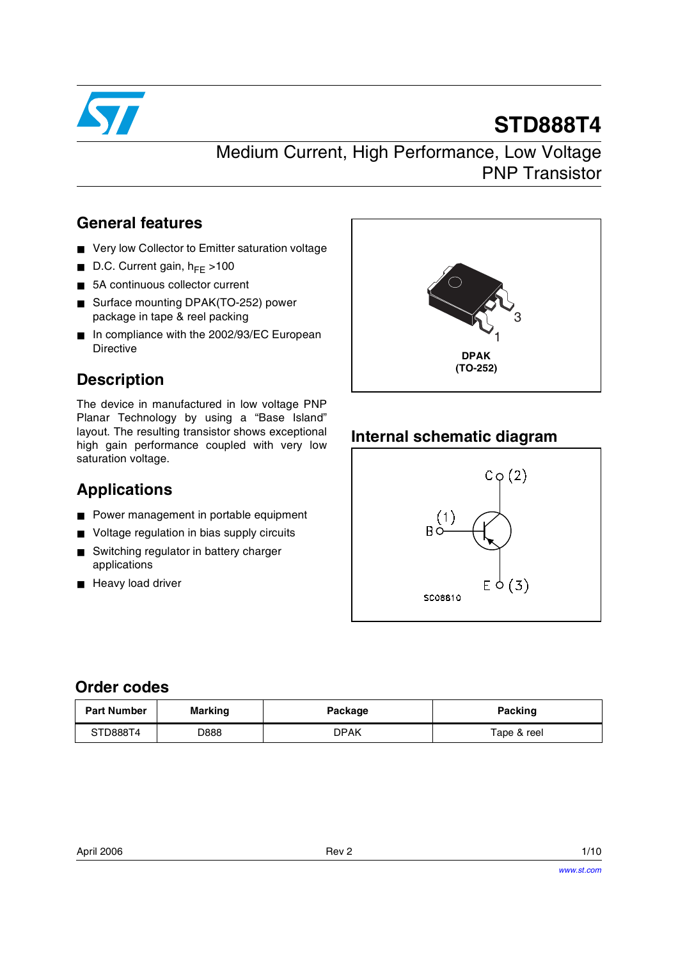

# **STD888T4**

Medium Current, High Performance, Low Voltage PNP Transistor

## **General features**

- Very low Collector to Emitter saturation voltage
- D.C. Current gain,  $h_{FE}$  >100
- 5A continuous collector current
- Surface mounting DPAK(TO-252) power package in tape & reel packing
- In compliance with the 2002/93/EC European Directive

# **Description**

The device in manufactured in low voltage PNP Planar Technology by using a "Base Island" layout. The resulting transistor shows exceptional high gain performance coupled with very low saturation voltage.

## **Applications**

- Power management in portable equipment
- Voltage regulation in bias supply circuits
- Switching regulator in battery charger applications
- Heavy load driver



## **Internal schematic diagram**



## **Order codes**

| <b>Part Number</b> | <b>Marking</b> | Package | Packing     |
|--------------------|----------------|---------|-------------|
| STD888T4           | D888           | DPAK    | Tape & reel |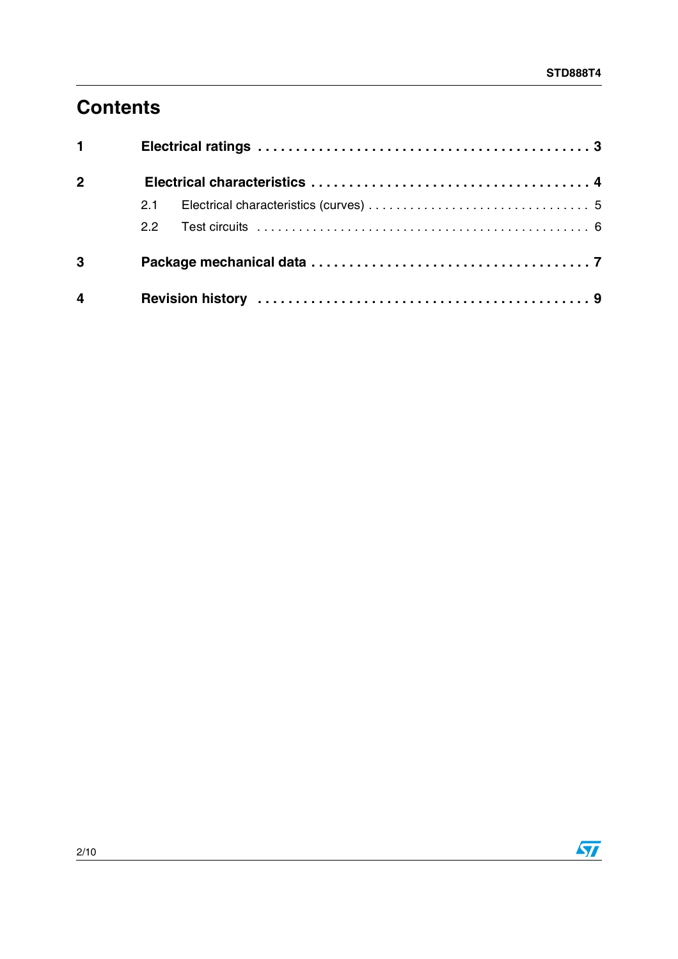# **Contents**

| $1 \quad \blacksquare$ |               |  |  |  |
|------------------------|---------------|--|--|--|
| $\overline{2}$         |               |  |  |  |
|                        | 2.1           |  |  |  |
|                        | $2.2^{\circ}$ |  |  |  |
| $\mathbf{3}$           |               |  |  |  |
| 4                      |               |  |  |  |

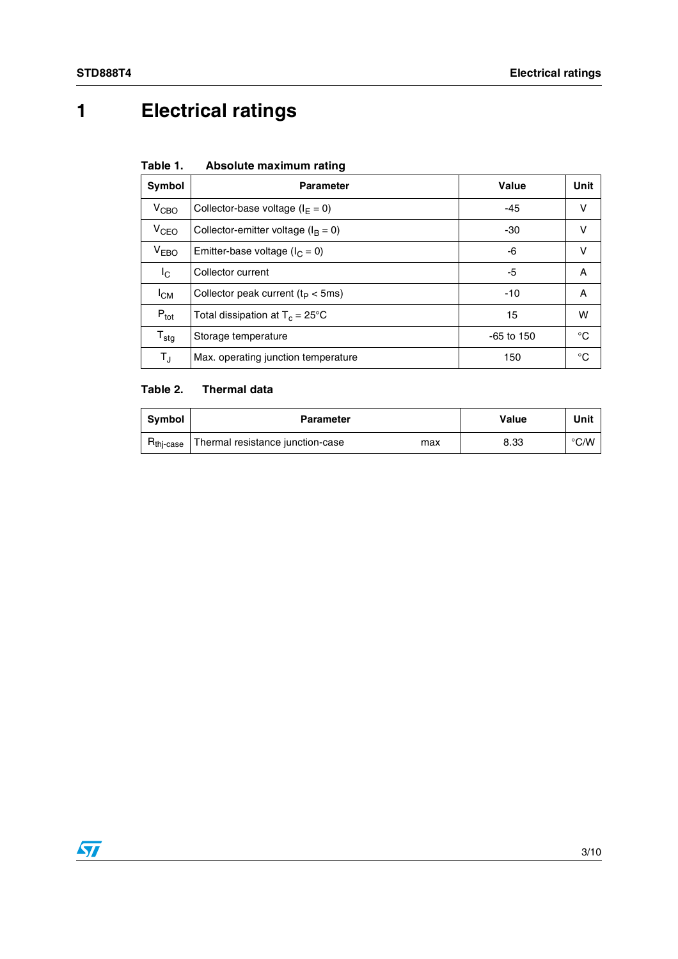# <span id="page-2-0"></span>**1 Electrical ratings**

| Absolute maximum rating<br>Table 1. |
|-------------------------------------|
|-------------------------------------|

| Symbol                      | <b>Parameter</b>                          | Value        | Unit |
|-----------------------------|-------------------------------------------|--------------|------|
| V <sub>CBO</sub>            | Collector-base voltage $(I_F = 0)$        | $-45$        | v    |
| $V_{CEO}$                   | Collector-emitter voltage ( $I_B = 0$ )   | -30          | v    |
| V <sub>EBO</sub>            | Emitter-base voltage ( $I_C = 0$ )        | -6           | v    |
| $I_{\rm C}$                 | Collector current                         | -5           | A    |
| <sup>I</sup> см             | Collector peak current ( $t_P < 5$ ms)    | $-10$        | A    |
| $P_{\text{tot}}$            | Total dissipation at $T_c = 25^{\circ}$ C | 15           | w    |
| $\mathsf{T}_{\textsf{stg}}$ | Storage temperature                       | $-65$ to 150 | °C   |
| $T_{\sf J}$                 | Max. operating junction temperature       | 150          | °C   |

#### **Table 2. Thermal data**

| <b>Symbol</b>         | <b>Parameter</b>                        | Value | Unit          |
|-----------------------|-----------------------------------------|-------|---------------|
| H <sub>thi-case</sub> | Thermal resistance junction-case<br>max | 8.33  | $\degree$ C/W |

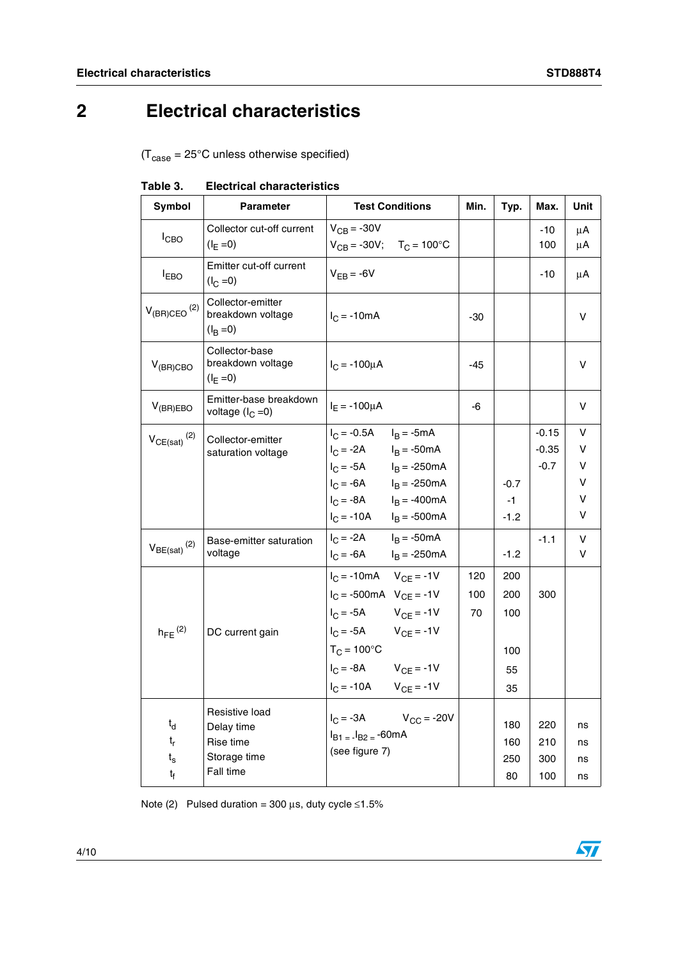# <span id="page-3-0"></span>**2 Electrical characteristics**

 $(T_{\text{case}} = 25^{\circ} \text{C}$  unless otherwise specified)

| Symbol                                                           | <b>Parameter</b>                                                       | <b>Test Conditions</b>                                                                                                                                                                                         | Min.             | Typ.                                 | Max.                         | Unit                       |
|------------------------------------------------------------------|------------------------------------------------------------------------|----------------------------------------------------------------------------------------------------------------------------------------------------------------------------------------------------------------|------------------|--------------------------------------|------------------------------|----------------------------|
| $I_{CBO}$                                                        | Collector cut-off current<br>$(I_F = 0)$                               | $V_{CB} = -30V$<br>$V_{CB} = -30V$ ; $T_C = 100^{\circ}C$                                                                                                                                                      |                  |                                      | -10<br>100                   | μA<br>μA                   |
| $I_{EBO}$                                                        | Emitter cut-off current<br>$(I_C = 0)$                                 | $V_{FR} = -6V$                                                                                                                                                                                                 |                  |                                      | $-10$                        | μA                         |
| $V_{(BR)CEO}$ <sup>(2)</sup>                                     | Collector-emitter<br>breakdown voltage<br>$(I_B = 0)$                  | $I_C = -10mA$                                                                                                                                                                                                  | -30              |                                      |                              | v                          |
| $V_{(BR)CBO}$                                                    | Collector-base<br>breakdown voltage<br>$(I_E = 0)$                     | $I_C = -100 \mu A$                                                                                                                                                                                             | $-45$            |                                      |                              | v                          |
| $V_{(BR)EBO}$                                                    | Emitter-base breakdown<br>voltage $(I_C = 0)$                          | $I_E = -100 \mu A$                                                                                                                                                                                             | -6               |                                      |                              | v                          |
| $V_{CE(sat)}$ <sup>(2)</sup>                                     | Collector-emitter<br>saturation voltage                                | $I_C = -0.5A$ $I_B = -5mA$<br>$I_C = -2A$ $I_B = -50mA$<br>$I_C = -5A$ $I_B = -250mA$<br>$I_C = -6A$ $I_B = -250mA$<br>$I_C = -8A$ $I_B = -400mA$<br>$I_C = -10A$ $I_B = -500mA$                               |                  | $-0.7$<br>$-1$<br>$-1.2$             | $-0.15$<br>$-0.35$<br>$-0.7$ | v<br>v<br>v<br>v<br>V<br>v |
| $V_{BE(sat)}$ <sup>(2)</sup>                                     | Base-emitter saturation<br>voltage                                     | $I_C = -2A$ $I_B = -50mA$<br>$I_C = -6A$ $I_B = -250mA$                                                                                                                                                        |                  | $-1.2$                               | $-1.1$                       | v<br>v                     |
| $h_{FE}$ <sup>(2)</sup>                                          | DC current gain                                                        | $I_C = -10mA$ $V_{CE} = -1V$<br>$I_C = -500mA$ $V_{CE} = -1V$<br>$I_C = -5A$ $V_{CE} = -1V$<br>$I_C = -5A$ $V_{CE} = -1V$<br>$T_C = 100^{\circ}C$<br>$I_C = -8A$ $V_{CE} = -1V$<br>$I_C = -10A$ $V_{CE} = -1V$ | 120<br>100<br>70 | 200<br>200<br>100<br>100<br>55<br>35 | 300                          |                            |
| $t_{\sf d}$<br>$t_r$<br>$\mathfrak{t}_{\rm s}$<br>t <sub>f</sub> | Resistive load<br>Delay time<br>Rise time<br>Storage time<br>Fall time | $I_C = -3A$ $V_{CC} = -20V$<br>$I_{B1} = I_{B2} = -60mA$<br>(see figure 7)                                                                                                                                     |                  | 180<br>160<br>250<br>80              | 220<br>210<br>300<br>100     | ns<br>ns<br>ns<br>ns       |

Note (2) Pulsed duration = 300  $\mu$ s, duty cycle ≤1.5%

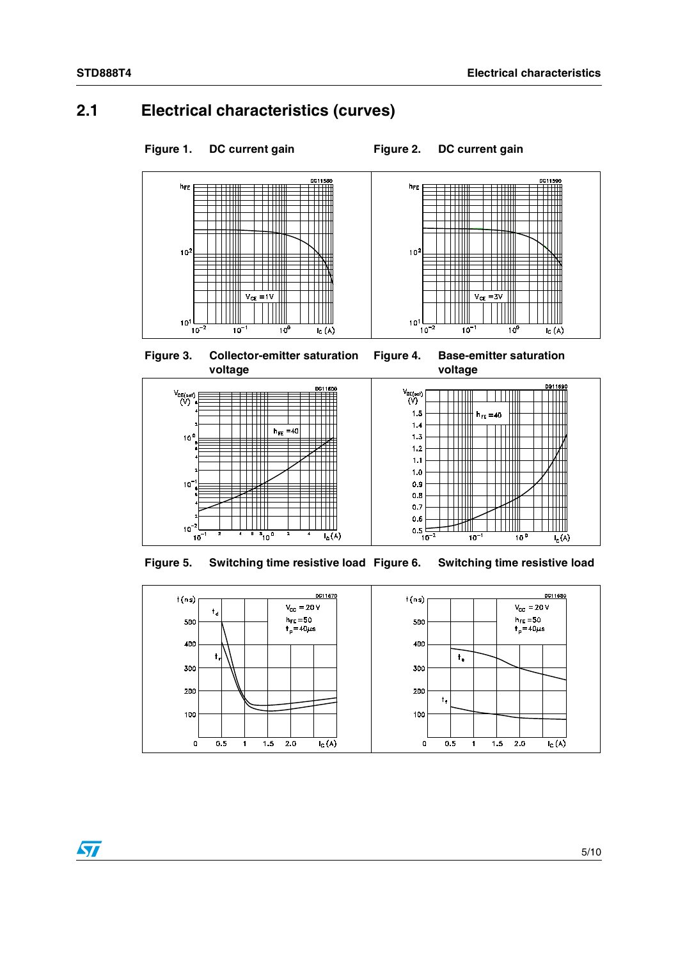## <span id="page-4-0"></span>**2.1 Electrical characteristics (curves)**















**Figure 5. Switching time resistive load Figure 6. Switching time resistive load**

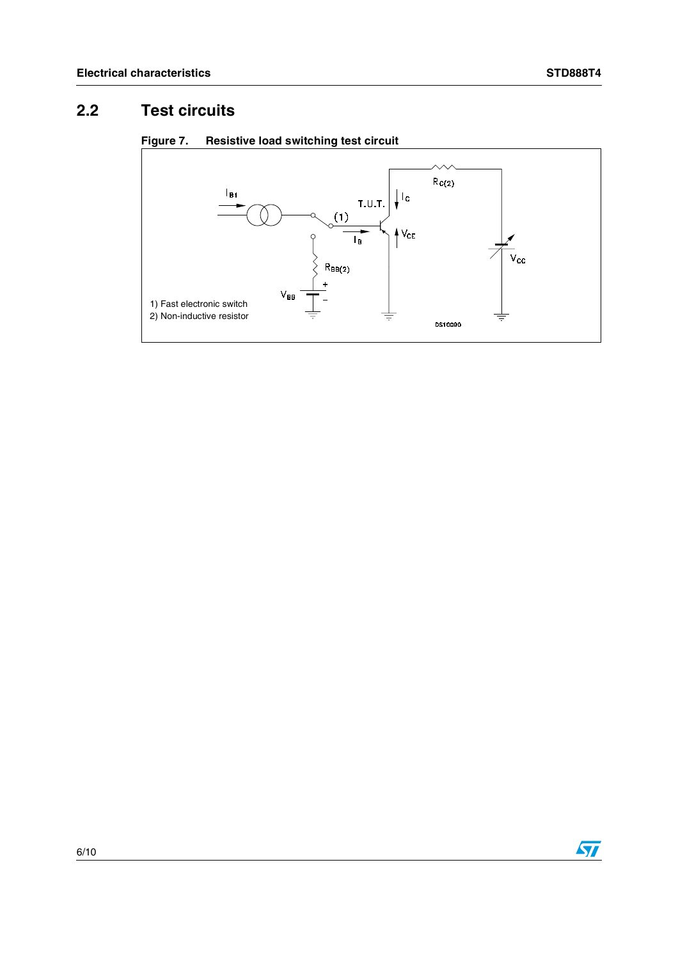# <span id="page-5-0"></span>**2.2 Test circuits**



#### **Figure 7. Resistive load switching test circuit**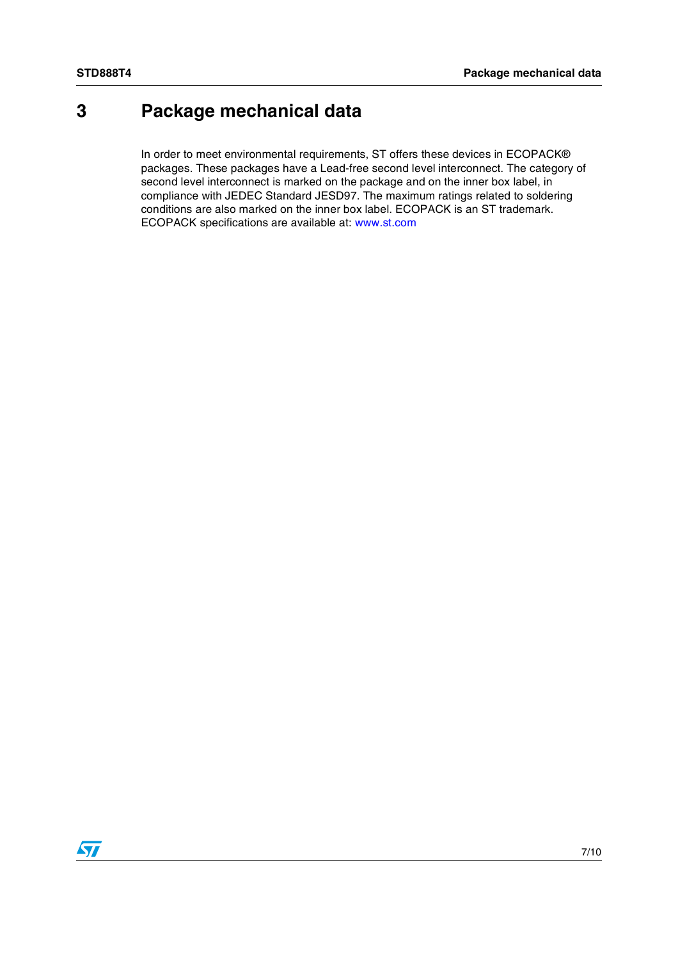# <span id="page-6-0"></span>**3 Package mechanical data**

In order to meet environmental requirements, ST offers these devices in ECOPACK® packages. These packages have a Lead-free second level interconnect. The category of second level interconnect is marked on the package and on the inner box label, in compliance with JEDEC Standard JESD97. The maximum ratings related to soldering conditions are also marked on the inner box label. ECOPACK is an ST trademark. ECOPACK specifications are available at: www.st.com

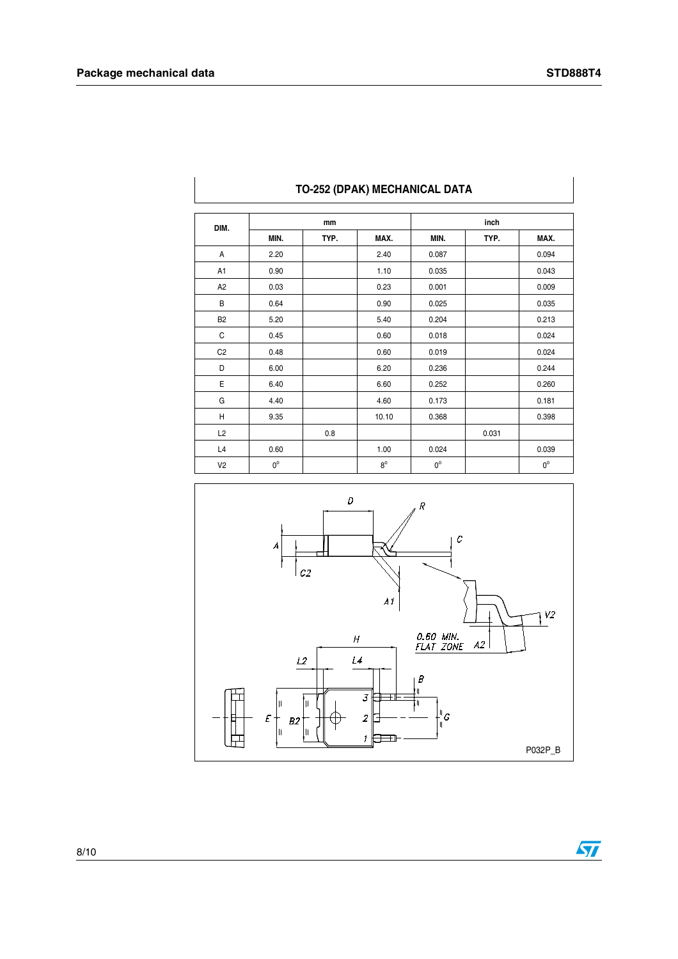| DIM.           |             | mm   |             | inch        |       |             |
|----------------|-------------|------|-------------|-------------|-------|-------------|
|                | MIN.        | TYP. | MAX.        | MIN.        | TYP.  | MAX.        |
| A              | 2.20        |      | 2.40        | 0.087       |       | 0.094       |
| A <sub>1</sub> | 0.90        |      | 1.10        | 0.035       |       | 0.043       |
| A <sub>2</sub> | 0.03        |      | 0.23        | 0.001       |       | 0.009       |
| B              | 0.64        |      | 0.90        | 0.025       |       | 0.035       |
| <b>B2</b>      | 5.20        |      | 5.40        | 0.204       |       | 0.213       |
| С              | 0.45        |      | 0.60        | 0.018       |       | 0.024       |
| C <sub>2</sub> | 0.48        |      | 0.60        | 0.019       |       | 0.024       |
| D              | 6.00        |      | 6.20        | 0.236       |       | 0.244       |
| Ε              | 6.40        |      | 6.60        | 0.252       |       | 0.260       |
| G              | 4.40        |      | 4.60        | 0.173       |       | 0.181       |
| Η              | 9.35        |      | 10.10       | 0.368       |       | 0.398       |
| L2             |             | 0.8  |             |             | 0.031 |             |
| L4             | 0.60        |      | 1.00        | 0.024       |       | 0.039       |
| V <sub>2</sub> | $0^{\circ}$ |      | $8^{\circ}$ | $0^{\circ}$ |       | $0^{\circ}$ |

#### **TO-252 (DPAK) MECHANICAL DATA**



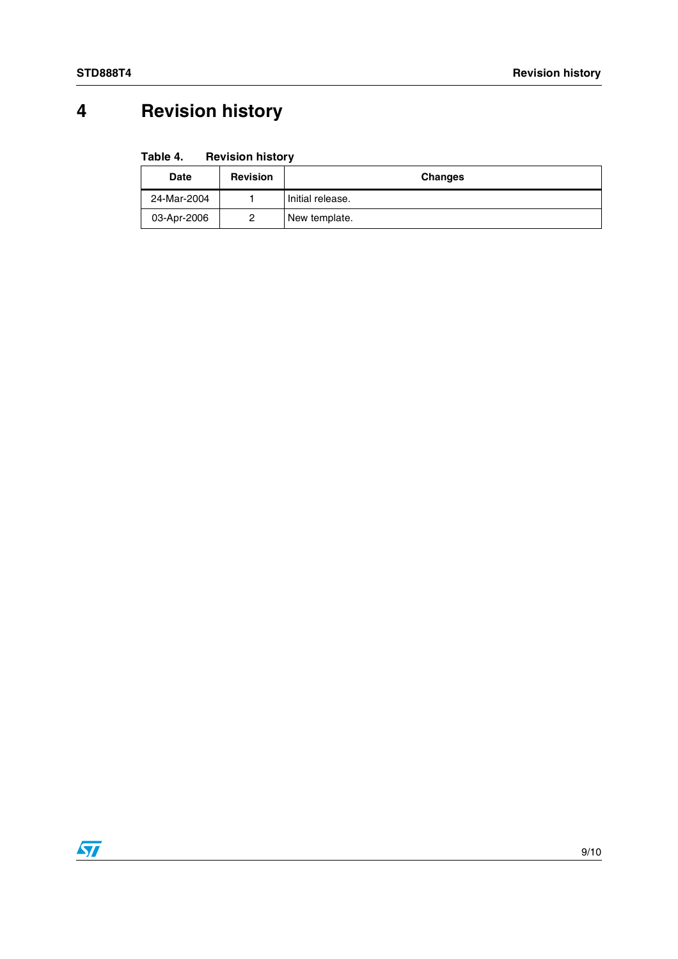# <span id="page-8-0"></span>**4 Revision history**

| Table 4.<br><b>Revision history</b> |  |
|-------------------------------------|--|
|-------------------------------------|--|

| <b>Date</b> | <b>Revision</b> | <b>Changes</b>   |
|-------------|-----------------|------------------|
| 24-Mar-2004 |                 | Initial release. |
| 03-Apr-2006 |                 | New template.    |